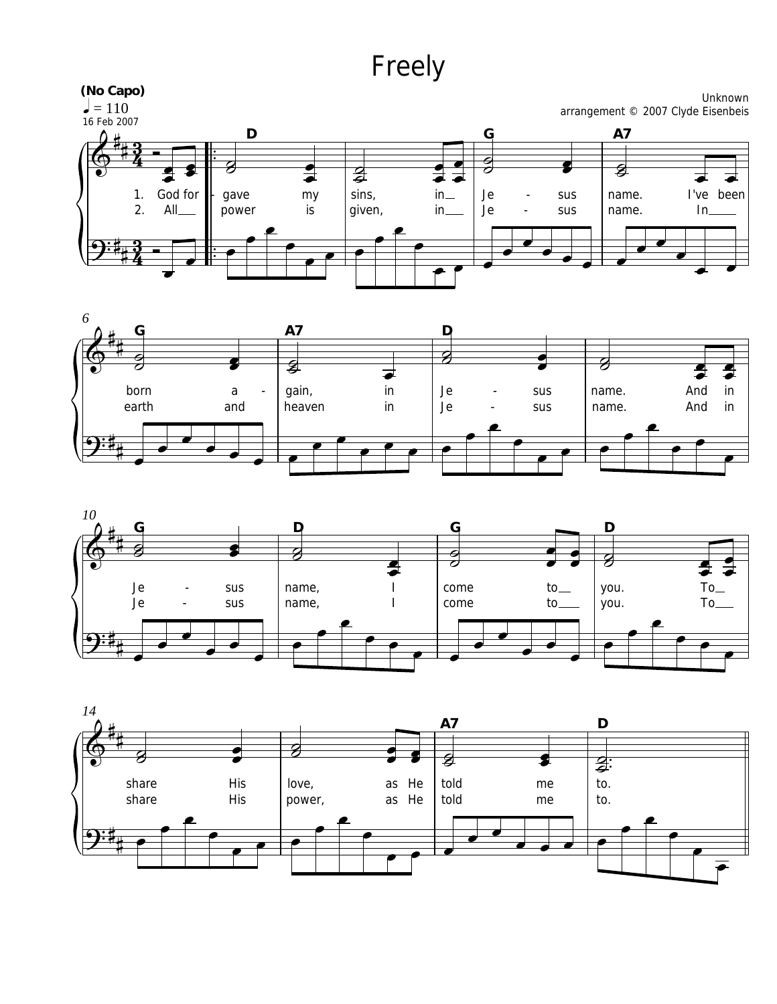## Freely